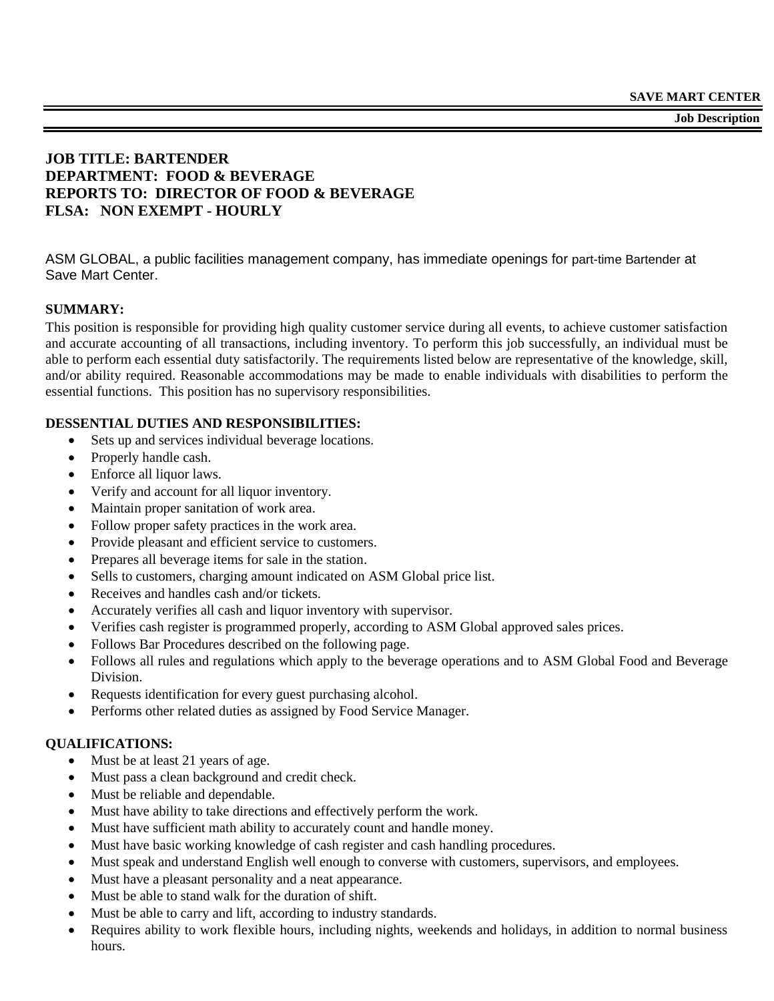**Job Description**

## **JOB TITLE: BARTENDER DEPARTMENT: FOOD & BEVERAGE REPORTS TO: DIRECTOR OF FOOD & BEVERAGE FLSA: NON EXEMPT - HOURLY**

ASM GLOBAL, a public facilities management company, has immediate openings for part-time Bartender at Save Mart Center.

### **SUMMARY:**

This position is responsible for providing high quality customer service during all events, to achieve customer satisfaction and accurate accounting of all transactions, including inventory. To perform this job successfully, an individual must be able to perform each essential duty satisfactorily. The requirements listed below are representative of the knowledge, skill, and/or ability required. Reasonable accommodations may be made to enable individuals with disabilities to perform the essential functions. This position has no supervisory responsibilities.

### **DESSENTIAL DUTIES AND RESPONSIBILITIES:**

- Sets up and services individual beverage locations.
- Properly handle cash.
- Enforce all liquor laws.
- Verify and account for all liquor inventory.
- Maintain proper sanitation of work area.
- Follow proper safety practices in the work area.
- Provide pleasant and efficient service to customers.
- Prepares all beverage items for sale in the station.
- Sells to customers, charging amount indicated on ASM Global price list.
- Receives and handles cash and/or tickets.
- Accurately verifies all cash and liquor inventory with supervisor.
- Verifies cash register is programmed properly, according to ASM Global approved sales prices.
- Follows Bar Procedures described on the following page.
- Follows all rules and regulations which apply to the beverage operations and to ASM Global Food and Beverage Division.
- Requests identification for every guest purchasing alcohol.
- Performs other related duties as assigned by Food Service Manager.

### **QUALIFICATIONS:**

- Must be at least 21 years of age.
- Must pass a clean background and credit check.
- Must be reliable and dependable.
- Must have ability to take directions and effectively perform the work.
- Must have sufficient math ability to accurately count and handle money.
- Must have basic working knowledge of cash register and cash handling procedures.
- Must speak and understand English well enough to converse with customers, supervisors, and employees.
- Must have a pleasant personality and a neat appearance.
- Must be able to stand walk for the duration of shift.
- Must be able to carry and lift, according to industry standards.
- Requires ability to work flexible hours, including nights, weekends and holidays, in addition to normal business hours.